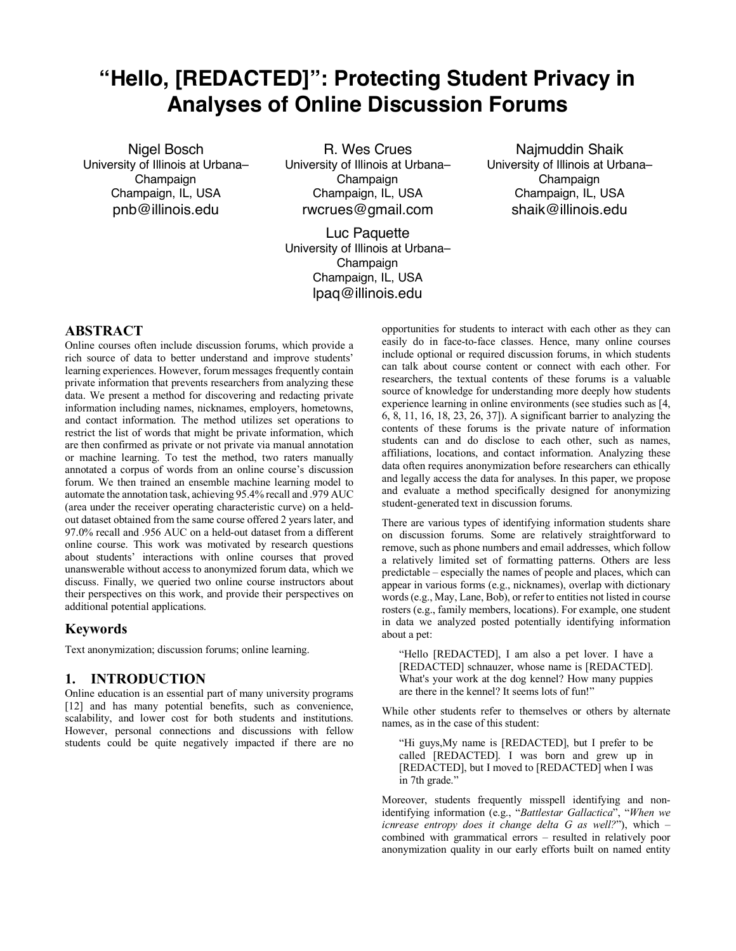# **"Hello, [REDACTED]": Protecting Student Privacy in Analyses of Online Discussion Forums**

Nigel Bosch University of Illinois at Urbana– Champaign Champaign, IL, USA pnb@illinois.edu

R. Wes Crues University of Illinois at Urbana– Champaign Champaign, IL, USA rwcrues@gmail.com

Luc Paquette University of Illinois at Urbana– Champaign Champaign, IL, USA lpaq@illinois.edu

Najmuddin Shaik University of Illinois at Urbana– Champaign Champaign, IL, USA shaik@illinois.edu

# **ABSTRACT**

Online courses often include discussion forums, which provide a rich source of data to better understand and improve students' learning experiences. However, forum messages frequently contain private information that prevents researchers from analyzing these data. We present a method for discovering and redacting private information including names, nicknames, employers, hometowns, and contact information. The method utilizes set operations to restrict the list of words that might be private information, which are then confirmed as private or not private via manual annotation or machine learning. To test the method, two raters manually annotated a corpus of words from an online course's discussion forum. We then trained an ensemble machine learning model to automate the annotation task, achieving 95.4% recall and .979 AUC (area under the receiver operating characteristic curve) on a heldout dataset obtained from the same course offered 2 years later, and 97.0% recall and .956 AUC on a held-out dataset from a different online course. This work was motivated by research questions about students' interactions with online courses that proved unanswerable without access to anonymized forum data, which we discuss. Finally, we queried two online course instructors about their perspectives on this work, and provide their perspectives on additional potential applications.

#### **Keywords**

Text anonymization; discussion forums; online learning.

#### **1. INTRODUCTION**

Online education is an essential part of many university programs [12] and has many potential benefits, such as convenience, scalability, and lower cost for both students and institutions. However, personal connections and discussions with fellow students could be quite negatively impacted if there are no

opportunities for students to interact with each other as they can easily do in face-to-face classes. Hence, many online courses include optional or required discussion forums, in which students can talk about course content or connect with each other. For researchers, the textual contents of these forums is a valuable source of knowledge for understanding more deeply how students experience learning in online environments (see studies such as [4, 6, 8, 11, 16, 18, 23, 26, 37]). A significant barrier to analyzing the contents of these forums is the private nature of information students can and do disclose to each other, such as names, affiliations, locations, and contact information. Analyzing these data often requires anonymization before researchers can ethically and legally access the data for analyses. In this paper, we propose and evaluate a method specifically designed for anonymizing student-generated text in discussion forums.

There are various types of identifying information students share on discussion forums. Some are relatively straightforward to remove, such as phone numbers and email addresses, which follow a relatively limited set of formatting patterns. Others are less predictable – especially the names of people and places, which can appear in various forms (e.g., nicknames), overlap with dictionary words (e.g., May, Lane, Bob), or refer to entities not listed in course rosters (e.g., family members, locations). For example, one student in data we analyzed posted potentially identifying information about a pet:

"Hello [REDACTED], I am also a pet lover. I have a [REDACTED] schnauzer, whose name is [REDACTED]. What's your work at the dog kennel? How many puppies are there in the kennel? It seems lots of fun!"

While other students refer to themselves or others by alternate names, as in the case of this student:

"Hi guys,My name is [REDACTED], but I prefer to be called [REDACTED]. I was born and grew up in [REDACTED], but I moved to [REDACTED] when I was in 7th grade."

Moreover, students frequently misspell identifying and nonidentifying information (e.g., "*Battlestar Gallactica*", "*When we icnrease entropy does it change delta G as well?*"), which – combined with grammatical errors – resulted in relatively poor anonymization quality in our early efforts built on named entity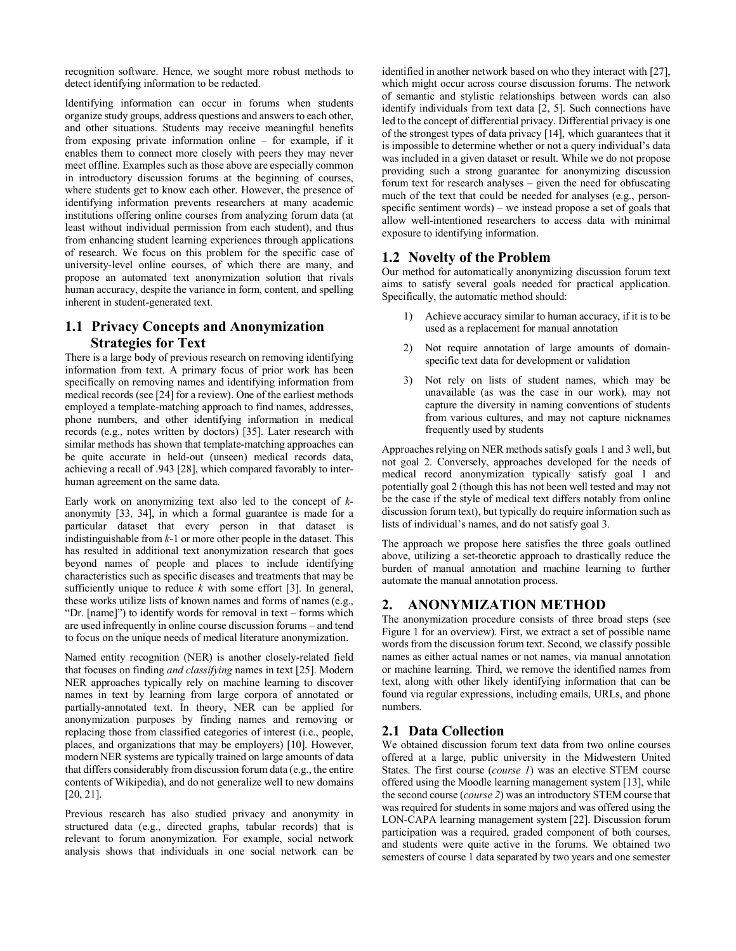recognition software. Hence, we sought more robust methods to detect identifying information to be redacted.

Identifying information can occur in forums when students organize study groups, address questions and answers to each other, and other situations. Students may receive meaningful benefits from exposing private information online – for example, if it enables them to connect more closely with peers they may never meet offline. Examples such as those above are especially common in introductory discussion forums at the beginning of courses, where students get to know each other. However, the presence of identifying information prevents researchers at many academic institutions offering online courses from analyzing forum data (at least without individual permission from each student), and thus from enhancing student learning experiences through applications of research. We focus on this problem for the specific case of university-level online courses, of which there are many, and propose an automated text anonymization solution that rivals human accuracy, despite the variance in form, content, and spelling inherent in student-generated text.

## **1.1 Privacy Concepts and Anonymization Strategies for Text**

There is a large body of previous research on removing identifying information from text. A primary focus of prior work has been specifically on removing names and identifying information from medical records (see [24] for a review). One of the earliest methods employed a template-matching approach to find names, addresses, phone numbers, and other identifying information in medical records (e.g., notes written by doctors) [35]. Later research with similar methods has shown that template-matching approaches can be quite accurate in held-out (unseen) medical records data, achieving a recall of .943 [28], which compared favorably to interhuman agreement on the same data.

Early work on anonymizing text also led to the concept of *k*anonymity [33, 34], in which a formal guarantee is made for a particular dataset that every person in that dataset is indistinguishable from *k*-1 or more other people in the dataset. This has resulted in additional text anonymization research that goes beyond names of people and places to include identifying characteristics such as specific diseases and treatments that may be sufficiently unique to reduce *k* with some effort [3]. In general, these works utilize lists of known names and forms of names (e.g., "Dr. [name]") to identify words for removal in text – forms which are used infrequently in online course discussion forums – and tend to focus on the unique needs of medical literature anonymization.

Named entity recognition (NER) is another closely-related field that focuses on finding *and classifying* names in text [25]. Modern NER approaches typically rely on machine learning to discover names in text by learning from large corpora of annotated or partially-annotated text. In theory, NER can be applied for anonymization purposes by finding names and removing or replacing those from classified categories of interest (i.e., people, places, and organizations that may be employers) [10]. However, modern NER systems are typically trained on large amounts of data that differs considerably from discussion forum data (e.g., the entire contents of Wikipedia), and do not generalize well to new domains [20, 21].

Previous research has also studied privacy and anonymity in structured data (e.g., directed graphs, tabular records) that is relevant to forum anonymization. For example, social network analysis shows that individuals in one social network can be

identified in another network based on who they interact with [27], which might occur across course discussion forums. The network of semantic and stylistic relationships between words can also identify individuals from text data [2, 5]. Such connections have led to the concept of differential privacy. Differential privacy is one of the strongest types of data privacy [14], which guarantees that it is impossible to determine whether or not a query individual's data was included in a given dataset or result. While we do not propose providing such a strong guarantee for anonymizing discussion forum text for research analyses – given the need for obfuscating much of the text that could be needed for analyses (e.g., personspecific sentiment words) – we instead propose a set of goals that allow well-intentioned researchers to access data with minimal exposure to identifying information.

## **1.2 Novelty of the Problem**

Our method for automatically anonymizing discussion forum text aims to satisfy several goals needed for practical application. Specifically, the automatic method should:

- 1) Achieve accuracy similar to human accuracy, if it is to be used as a replacement for manual annotation
- 2) Not require annotation of large amounts of domainspecific text data for development or validation
- 3) Not rely on lists of student names, which may be unavailable (as was the case in our work), may not capture the diversity in naming conventions of students from various cultures, and may not capture nicknames frequently used by students

Approaches relying on NER methods satisfy goals 1 and 3 well, but not goal 2. Conversely, approaches developed for the needs of medical record anonymization typically satisfy goal 1 and potentially goal 2 (though this has not been well tested and may not be the case if the style of medical text differs notably from online discussion forum text), but typically do require information such as lists of individual's names, and do not satisfy goal 3.

The approach we propose here satisfies the three goals outlined above, utilizing a set-theoretic approach to drastically reduce the burden of manual annotation and machine learning to further automate the manual annotation process.

## **2. ANONYMIZATION METHOD**

The anonymization procedure consists of three broad steps (see Figure 1 for an overview). First, we extract a set of possible name words from the discussion forum text. Second, we classify possible names as either actual names or not names, via manual annotation or machine learning. Third, we remove the identified names from text, along with other likely identifying information that can be found via regular expressions, including emails, URLs, and phone numbers.

## **2.1 Data Collection**

We obtained discussion forum text data from two online courses offered at a large, public university in the Midwestern United States. The first course (*course 1*) was an elective STEM course offered using the Moodle learning management system [13], while the second course (*course 2*) was an introductory STEM course that was required for students in some majors and was offered using the LON-CAPA learning management system [22]. Discussion forum participation was a required, graded component of both courses, and students were quite active in the forums. We obtained two semesters of course 1 data separated by two years and one semester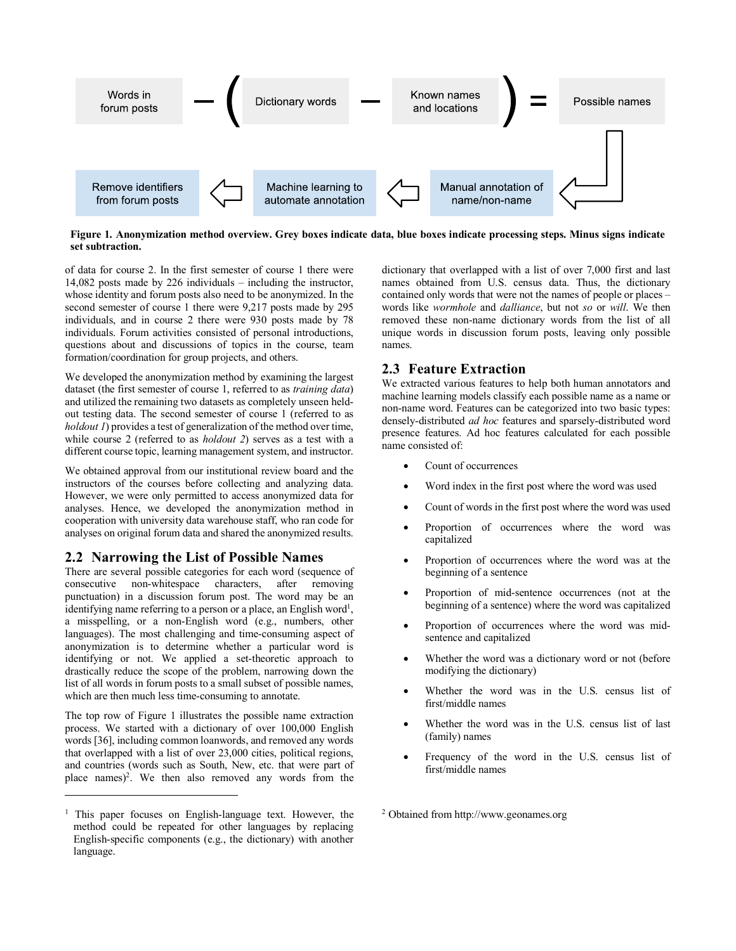

**Figure 1. Anonymization method overview. Grey boxes indicate data, blue boxes indicate processing steps. Minus signs indicate set subtraction.**

of data for course 2. In the first semester of course 1 there were 14,082 posts made by 226 individuals – including the instructor, whose identity and forum posts also need to be anonymized. In the second semester of course 1 there were 9,217 posts made by 295 individuals, and in course 2 there were 930 posts made by 78 individuals. Forum activities consisted of personal introductions, questions about and discussions of topics in the course, team formation/coordination for group projects, and others.

We developed the anonymization method by examining the largest dataset (the first semester of course 1, referred to as *training data*) and utilized the remaining two datasets as completely unseen heldout testing data. The second semester of course 1 (referred to as *holdout 1*) provides a test of generalization of the method over time, while course 2 (referred to as *holdout 2*) serves as a test with a different course topic, learning management system, and instructor.

We obtained approval from our institutional review board and the instructors of the courses before collecting and analyzing data. However, we were only permitted to access anonymized data for analyses. Hence, we developed the anonymization method in cooperation with university data warehouse staff, who ran code for analyses on original forum data and shared the anonymized results.

#### **2.2 Narrowing the List of Possible Names**

There are several possible categories for each word (sequence of consecutive non-whitespace characters, after removing punctuation) in a discussion forum post. The word may be an identifying name referring to a person or a place, an English word<sup>1</sup>, a misspelling, or a non-English word (e.g., numbers, other languages). The most challenging and time-consuming aspect of anonymization is to determine whether a particular word is identifying or not. We applied a set-theoretic approach to drastically reduce the scope of the problem, narrowing down the list of all words in forum posts to a small subset of possible names, which are then much less time-consuming to annotate.

The top row of Figure 1 illustrates the possible name extraction process. We started with a dictionary of over 100,000 English words [36], including common loanwords, and removed any words that overlapped with a list of over 23,000 cities, political regions, and countries (words such as South, New, etc. that were part of place names)<sup>2</sup>. We then also removed any words from the

 $\overline{a}$ 

dictionary that overlapped with a list of over 7,000 first and last names obtained from U.S. census data. Thus, the dictionary contained only words that were not the names of people or places – words like *wormhole* and *dalliance*, but not *so* or *will*. We then removed these non-name dictionary words from the list of all unique words in discussion forum posts, leaving only possible names.

## **2.3 Feature Extraction**

We extracted various features to help both human annotators and machine learning models classify each possible name as a name or non-name word. Features can be categorized into two basic types: densely-distributed *ad hoc* features and sparsely-distributed word presence features. Ad hoc features calculated for each possible name consisted of:

- Count of occurrences
- Word index in the first post where the word was used
- Count of words in the first post where the word was used
- Proportion of occurrences where the word was capitalized
- Proportion of occurrences where the word was at the beginning of a sentence
- Proportion of mid-sentence occurrences (not at the beginning of a sentence) where the word was capitalized
- Proportion of occurrences where the word was midsentence and capitalized
- Whether the word was a dictionary word or not (before modifying the dictionary)
- Whether the word was in the U.S. census list of first/middle names
- Whether the word was in the U.S. census list of last (family) names
- Frequency of the word in the U.S. census list of first/middle names

<sup>2</sup> Obtained from http://www.geonames.org

<sup>1</sup> This paper focuses on English-language text. However, the method could be repeated for other languages by replacing English-specific components (e.g., the dictionary) with another language.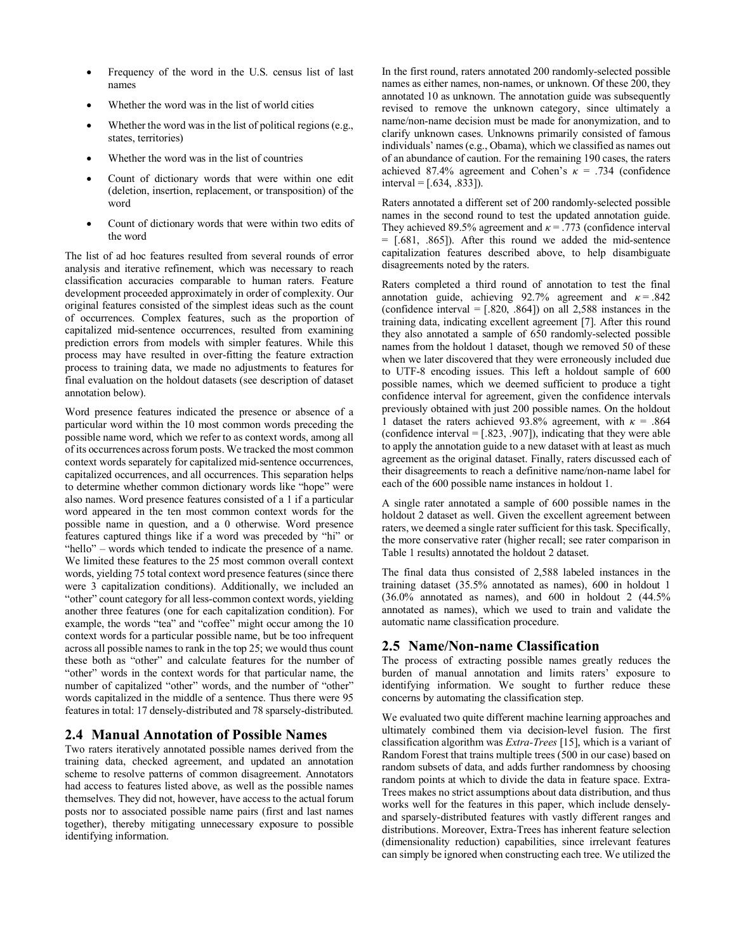- Frequency of the word in the U.S. census list of last names
- Whether the word was in the list of world cities
- Whether the word was in the list of political regions (e.g., states, territories)
- Whether the word was in the list of countries
- Count of dictionary words that were within one edit (deletion, insertion, replacement, or transposition) of the word
- Count of dictionary words that were within two edits of the word

The list of ad hoc features resulted from several rounds of error analysis and iterative refinement, which was necessary to reach classification accuracies comparable to human raters. Feature development proceeded approximately in order of complexity. Our original features consisted of the simplest ideas such as the count of occurrences. Complex features, such as the proportion of capitalized mid-sentence occurrences, resulted from examining prediction errors from models with simpler features. While this process may have resulted in over-fitting the feature extraction process to training data, we made no adjustments to features for final evaluation on the holdout datasets (see description of dataset annotation below).

Word presence features indicated the presence or absence of a particular word within the 10 most common words preceding the possible name word, which we refer to as context words, among all of its occurrences across forum posts. We tracked the most common context words separately for capitalized mid-sentence occurrences, capitalized occurrences, and all occurrences. This separation helps to determine whether common dictionary words like "hope" were also names. Word presence features consisted of a 1 if a particular word appeared in the ten most common context words for the possible name in question, and a 0 otherwise. Word presence features captured things like if a word was preceded by "hi" or "hello" – words which tended to indicate the presence of a name. We limited these features to the 25 most common overall context words, yielding 75 total context word presence features (since there were 3 capitalization conditions). Additionally, we included an "other" count category for all less-common context words, yielding another three features (one for each capitalization condition). For example, the words "tea" and "coffee" might occur among the 10 context words for a particular possible name, but be too infrequent across all possible names to rank in the top 25; we would thus count these both as "other" and calculate features for the number of "other" words in the context words for that particular name, the number of capitalized "other" words, and the number of "other" words capitalized in the middle of a sentence. Thus there were 95 features in total: 17 densely-distributed and 78 sparsely-distributed.

# **2.4 Manual Annotation of Possible Names**

Two raters iteratively annotated possible names derived from the training data, checked agreement, and updated an annotation scheme to resolve patterns of common disagreement. Annotators had access to features listed above, as well as the possible names themselves. They did not, however, have access to the actual forum posts nor to associated possible name pairs (first and last names together), thereby mitigating unnecessary exposure to possible identifying information.

In the first round, raters annotated 200 randomly-selected possible names as either names, non-names, or unknown. Of these 200, they annotated 10 as unknown. The annotation guide was subsequently revised to remove the unknown category, since ultimately a name/non-name decision must be made for anonymization, and to clarify unknown cases. Unknowns primarily consisted of famous individuals' names (e.g., Obama), which we classified as names out of an abundance of caution. For the remaining 190 cases, the raters achieved 87.4% agreement and Cohen's *κ* = .734 (confidence  $interval = [.634, .833]$ .

Raters annotated a different set of 200 randomly-selected possible names in the second round to test the updated annotation guide. They achieved 89.5% agreement and  $\kappa$  = .773 (confidence interval  $=$  [.681, .865]). After this round we added the mid-sentence capitalization features described above, to help disambiguate disagreements noted by the raters.

Raters completed a third round of annotation to test the final annotation guide, achieving 92.7% agreement and  $\kappa = .842$ (confidence interval  $=[.820, .864]$ ) on all 2,588 instances in the training data, indicating excellent agreement [7]. After this round they also annotated a sample of 650 randomly-selected possible names from the holdout 1 dataset, though we removed 50 of these when we later discovered that they were erroneously included due to UTF-8 encoding issues. This left a holdout sample of 600 possible names, which we deemed sufficient to produce a tight confidence interval for agreement, given the confidence intervals previously obtained with just 200 possible names. On the holdout 1 dataset the raters achieved 93.8% agreement, with  $\kappa = .864$ (confidence interval  $=[.823, .907]$ ), indicating that they were able to apply the annotation guide to a new dataset with at least as much agreement as the original dataset. Finally, raters discussed each of their disagreements to reach a definitive name/non-name label for each of the 600 possible name instances in holdout 1.

A single rater annotated a sample of 600 possible names in the holdout 2 dataset as well. Given the excellent agreement between raters, we deemed a single rater sufficient for this task. Specifically, the more conservative rater (higher recall; see rater comparison in Table 1 results) annotated the holdout 2 dataset.

The final data thus consisted of 2,588 labeled instances in the training dataset (35.5% annotated as names), 600 in holdout 1  $(36.0\%$  annotated as names), and  $600$  in holdout 2  $(44.5\%$ annotated as names), which we used to train and validate the automatic name classification procedure.

# **2.5 Name/Non-name Classification**

The process of extracting possible names greatly reduces the burden of manual annotation and limits raters' exposure to identifying information. We sought to further reduce these concerns by automating the classification step.

We evaluated two quite different machine learning approaches and ultimately combined them via decision-level fusion. The first classification algorithm was *Extra-Trees* [15], which is a variant of Random Forest that trains multiple trees (500 in our case) based on random subsets of data, and adds further randomness by choosing random points at which to divide the data in feature space. Extra-Trees makes no strict assumptions about data distribution, and thus works well for the features in this paper, which include denselyand sparsely-distributed features with vastly different ranges and distributions. Moreover, Extra-Trees has inherent feature selection (dimensionality reduction) capabilities, since irrelevant features can simply be ignored when constructing each tree. We utilized the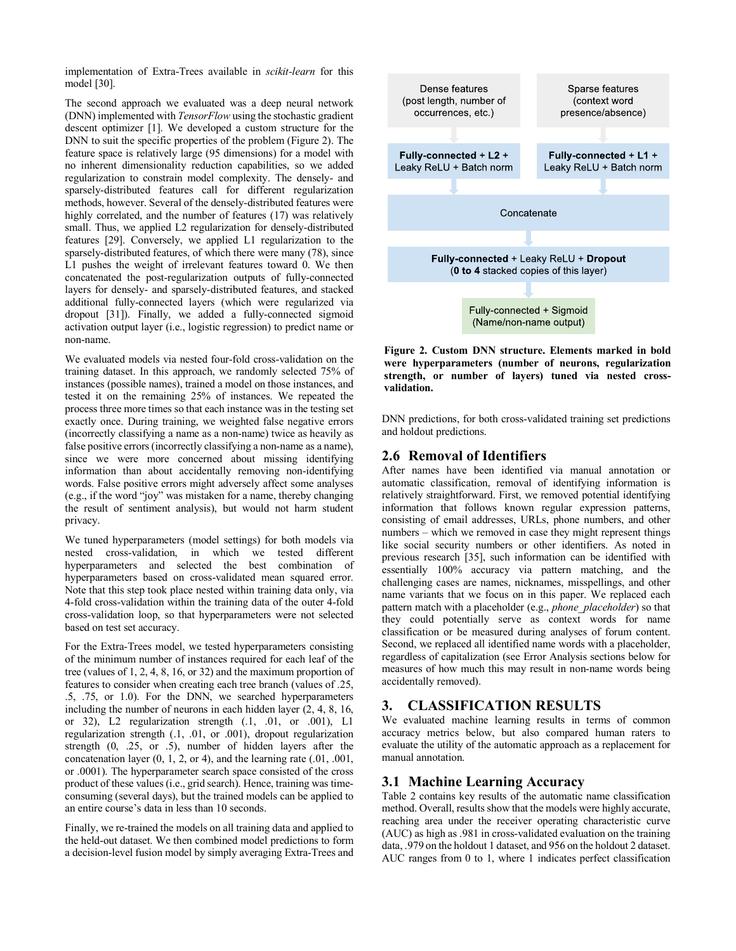implementation of Extra-Trees available in *scikit-learn* for this model [30].

The second approach we evaluated was a deep neural network (DNN) implemented with *TensorFlow* using the stochastic gradient descent optimizer [1]. We developed a custom structure for the DNN to suit the specific properties of the problem (Figure 2). The feature space is relatively large (95 dimensions) for a model with no inherent dimensionality reduction capabilities, so we added regularization to constrain model complexity. The densely- and sparsely-distributed features call for different regularization methods, however. Several of the densely-distributed features were highly correlated, and the number of features (17) was relatively small. Thus, we applied L2 regularization for densely-distributed features [29]. Conversely, we applied L1 regularization to the sparsely-distributed features, of which there were many (78), since L1 pushes the weight of irrelevant features toward 0. We then concatenated the post-regularization outputs of fully-connected layers for densely- and sparsely-distributed features, and stacked additional fully-connected layers (which were regularized via dropout [31]). Finally, we added a fully-connected sigmoid activation output layer (i.e., logistic regression) to predict name or non-name.

We evaluated models via nested four-fold cross-validation on the training dataset. In this approach, we randomly selected 75% of instances (possible names), trained a model on those instances, and tested it on the remaining 25% of instances. We repeated the process three more times so that each instance was in the testing set exactly once. During training, we weighted false negative errors (incorrectly classifying a name as a non-name) twice as heavily as false positive errors (incorrectly classifying a non-name as a name), since we were more concerned about missing identifying information than about accidentally removing non-identifying words. False positive errors might adversely affect some analyses (e.g., if the word "joy" was mistaken for a name, thereby changing the result of sentiment analysis), but would not harm student privacy.

We tuned hyperparameters (model settings) for both models via nested cross-validation, in which we tested different hyperparameters and selected the best combination of hyperparameters based on cross-validated mean squared error. Note that this step took place nested within training data only, via 4-fold cross-validation within the training data of the outer 4-fold cross-validation loop, so that hyperparameters were not selected based on test set accuracy.

For the Extra-Trees model, we tested hyperparameters consisting of the minimum number of instances required for each leaf of the tree (values of 1, 2, 4, 8, 16, or 32) and the maximum proportion of features to consider when creating each tree branch (values of .25, .5, .75, or 1.0). For the DNN, we searched hyperparameters including the number of neurons in each hidden layer (2, 4, 8, 16, or 32), L2 regularization strength (.1, .01, or .001), L1 regularization strength (.1, .01, or .001), dropout regularization strength (0, .25, or .5), number of hidden layers after the concatenation layer (0, 1, 2, or 4), and the learning rate (.01, .001, or .0001). The hyperparameter search space consisted of the cross product of these values (i.e., grid search). Hence, training was timeconsuming (several days), but the trained models can be applied to an entire course's data in less than 10 seconds.

Finally, we re-trained the models on all training data and applied to the held-out dataset. We then combined model predictions to form a decision-level fusion model by simply averaging Extra-Trees and



**Figure 2. Custom DNN structure. Elements marked in bold were hyperparameters (number of neurons, regularization strength, or number of layers) tuned via nested crossvalidation.**

DNN predictions, for both cross-validated training set predictions and holdout predictions.

#### **2.6 Removal of Identifiers**

After names have been identified via manual annotation or automatic classification, removal of identifying information is relatively straightforward. First, we removed potential identifying information that follows known regular expression patterns, consisting of email addresses, URLs, phone numbers, and other numbers – which we removed in case they might represent things like social security numbers or other identifiers. As noted in previous research [35], such information can be identified with essentially 100% accuracy via pattern matching, and the challenging cases are names, nicknames, misspellings, and other name variants that we focus on in this paper. We replaced each pattern match with a placeholder (e.g., *phone\_placeholder*) so that they could potentially serve as context words for name classification or be measured during analyses of forum content. Second, we replaced all identified name words with a placeholder, regardless of capitalization (see Error Analysis sections below for measures of how much this may result in non-name words being accidentally removed).

## **3. CLASSIFICATION RESULTS**

We evaluated machine learning results in terms of common accuracy metrics below, but also compared human raters to evaluate the utility of the automatic approach as a replacement for manual annotation.

#### **3.1 Machine Learning Accuracy**

Table 2 contains key results of the automatic name classification method. Overall, results show that the models were highly accurate, reaching area under the receiver operating characteristic curve (AUC) as high as .981 in cross-validated evaluation on the training data, .979 on the holdout 1 dataset, and 956 on the holdout 2 dataset. AUC ranges from 0 to 1, where 1 indicates perfect classification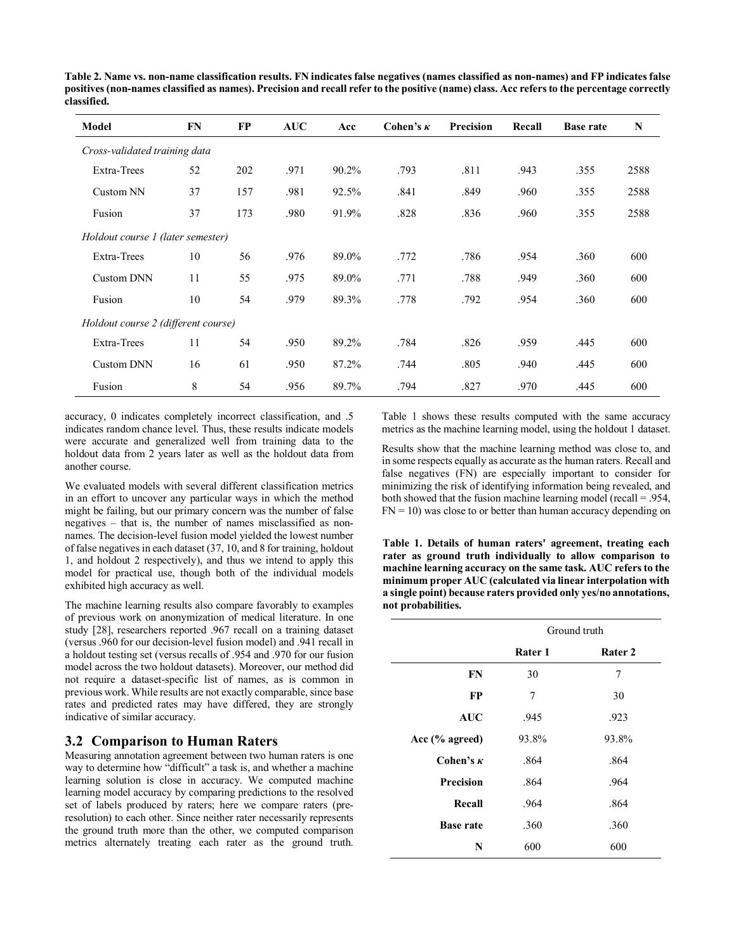**Table 2. Name vs. non-name classification results. FN indicates false negatives (names classified as non-names) and FP indicates false positives (non-names classified as names). Precision and recall refer to the positive (name) class. Acc refers to the percentage correctly classified.**

| <b>Model</b>                        | FN | <b>FP</b> | <b>AUC</b> | Acc   | Cohen's $\kappa$ | Precision | Recall | <b>Base rate</b> | N    |
|-------------------------------------|----|-----------|------------|-------|------------------|-----------|--------|------------------|------|
| Cross-validated training data       |    |           |            |       |                  |           |        |                  |      |
| Extra-Trees                         | 52 | 202       | .971       | 90.2% | .793             | .811      | .943   | .355             | 2588 |
| Custom NN                           | 37 | 157       | .981       | 92.5% | .841             | .849      | .960   | .355             | 2588 |
| Fusion                              | 37 | 173       | .980       | 91.9% | .828             | .836      | .960   | .355             | 2588 |
| Holdout course 1 (later semester)   |    |           |            |       |                  |           |        |                  |      |
| Extra-Trees                         | 10 | 56        | .976       | 89.0% | .772             | .786      | .954   | .360             | 600  |
| <b>Custom DNN</b>                   | 11 | 55        | .975       | 89.0% | .771             | .788      | .949   | .360             | 600  |
| Fusion                              | 10 | 54        | .979       | 89.3% | .778             | .792      | .954   | .360             | 600  |
| Holdout course 2 (different course) |    |           |            |       |                  |           |        |                  |      |
| Extra-Trees                         | 11 | 54        | .950       | 89.2% | .784             | .826      | .959   | .445             | 600  |
| <b>Custom DNN</b>                   | 16 | 61        | .950       | 87.2% | .744             | .805      | .940   | .445             | 600  |
| Fusion                              | 8  | 54        | .956       | 89.7% | .794             | .827      | .970   | .445             | 600  |

accuracy, 0 indicates completely incorrect classification, and .5 indicates random chance level. Thus, these results indicate models were accurate and generalized well from training data to the holdout data from 2 years later as well as the holdout data from another course.

We evaluated models with several different classification metrics in an effort to uncover any particular ways in which the method might be failing, but our primary concern was the number of false negatives – that is, the number of names misclassified as nonnames. The decision-level fusion model yielded the lowest number of false negatives in each dataset (37, 10, and 8 for training, holdout 1, and holdout 2 respectively), and thus we intend to apply this model for practical use, though both of the individual models exhibited high accuracy as well.

The machine learning results also compare favorably to examples of previous work on anonymization of medical literature. In one study [28], researchers reported .967 recall on a training dataset (versus .960 for our decision-level fusion model) and .941 recall in a holdout testing set (versus recalls of .954 and .970 for our fusion model across the two holdout datasets). Moreover, our method did not require a dataset-specific list of names, as is common in previous work. While results are not exactly comparable, since base rates and predicted rates may have differed, they are strongly indicative of similar accuracy.

#### **3.2 Comparison to Human Raters**

Measuring annotation agreement between two human raters is one way to determine how "difficult" a task is, and whether a machine learning solution is close in accuracy. We computed machine learning model accuracy by comparing predictions to the resolved set of labels produced by raters; here we compare raters (preresolution) to each other. Since neither rater necessarily represents the ground truth more than the other, we computed comparison metrics alternately treating each rater as the ground truth.

Table 1 shows these results computed with the same accuracy metrics as the machine learning model, using the holdout 1 dataset.

Results show that the machine learning method was close to, and in some respects equally as accurate as the human raters. Recall and false negatives (FN) are especially important to consider for minimizing the risk of identifying information being revealed, and both showed that the fusion machine learning model (recall = .954,  $FN = 10$ ) was close to or better than human accuracy depending on

**Table 1. Details of human raters' agreement, treating each rater as ground truth individually to allow comparison to machine learning accuracy on the same task. AUC refers to the minimum proper AUC (calculated via linear interpolation with a single point) because raters provided only yes/no annotations, not probabilities.**

|                   | Ground truth |         |  |  |
|-------------------|--------------|---------|--|--|
|                   | Rater 1      | Rater 2 |  |  |
| FN                | 30           | 7       |  |  |
| FP                | 7            | 30      |  |  |
| <b>AUC</b>        | .945         | .923    |  |  |
| Acc $(\%$ agreed) | 93.8%        | 93.8%   |  |  |
| Cohen's $\kappa$  | .864         | .864    |  |  |
| <b>Precision</b>  | .864         | .964    |  |  |
| Recall            | .964         | .864    |  |  |
| <b>Base rate</b>  | .360         | .360    |  |  |
| N                 | 600          | 600     |  |  |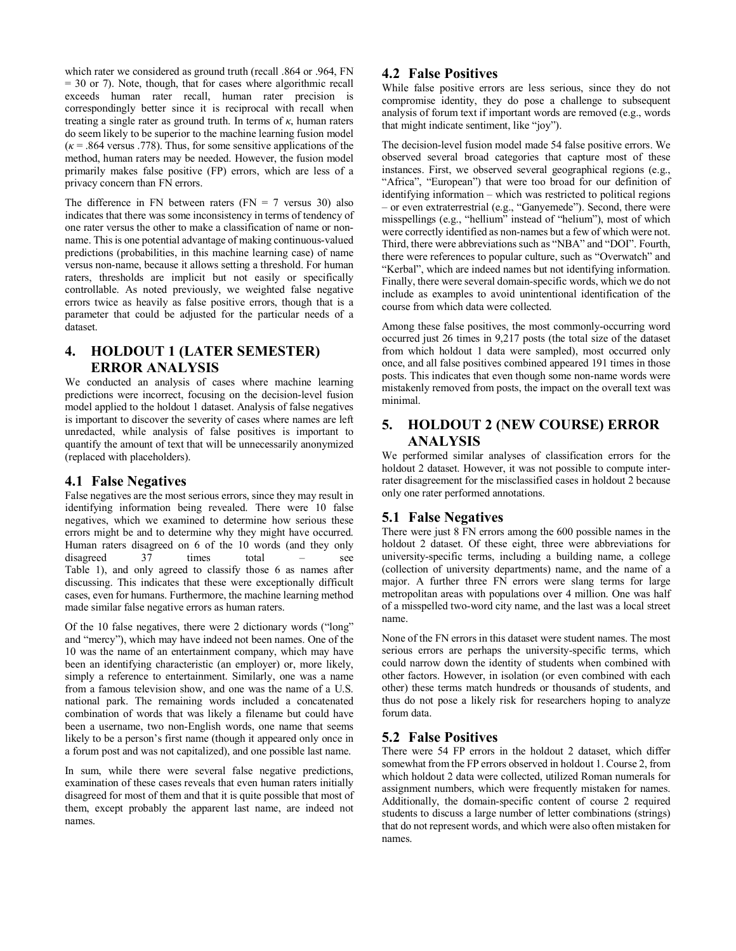which rater we considered as ground truth (recall .864 or .964, FN = 30 or 7). Note, though, that for cases where algorithmic recall exceeds human rater recall, human rater precision is correspondingly better since it is reciprocal with recall when treating a single rater as ground truth. In terms of  $\kappa$ , human raters do seem likely to be superior to the machine learning fusion model  $(k = 0.864$  versus .778). Thus, for some sensitive applications of the method, human raters may be needed. However, the fusion model primarily makes false positive (FP) errors, which are less of a privacy concern than FN errors.

The difference in FN between raters  $(FN = 7 \text{ versus } 30)$  also indicates that there was some inconsistency in terms of tendency of one rater versus the other to make a classification of name or nonname. This is one potential advantage of making continuous-valued predictions (probabilities, in this machine learning case) of name versus non-name, because it allows setting a threshold. For human raters, thresholds are implicit but not easily or specifically controllable. As noted previously, we weighted false negative errors twice as heavily as false positive errors, though that is a parameter that could be adjusted for the particular needs of a dataset.

# **4. HOLDOUT 1 (LATER SEMESTER) ERROR ANALYSIS**

We conducted an analysis of cases where machine learning predictions were incorrect, focusing on the decision-level fusion model applied to the holdout 1 dataset. Analysis of false negatives is important to discover the severity of cases where names are left unredacted, while analysis of false positives is important to quantify the amount of text that will be unnecessarily anonymized (replaced with placeholders).

## **4.1 False Negatives**

False negatives are the most serious errors, since they may result in identifying information being revealed. There were 10 false negatives, which we examined to determine how serious these errors might be and to determine why they might have occurred. Human raters disagreed on 6 of the 10 words (and they only disagreed 37 times total – see Table 1), and only agreed to classify those 6 as names after discussing. This indicates that these were exceptionally difficult cases, even for humans. Furthermore, the machine learning method made similar false negative errors as human raters.

Of the 10 false negatives, there were 2 dictionary words ("long" and "mercy"), which may have indeed not been names. One of the 10 was the name of an entertainment company, which may have been an identifying characteristic (an employer) or, more likely, simply a reference to entertainment. Similarly, one was a name from a famous television show, and one was the name of a U.S. national park. The remaining words included a concatenated combination of words that was likely a filename but could have been a username, two non-English words, one name that seems likely to be a person's first name (though it appeared only once in a forum post and was not capitalized), and one possible last name.

In sum, while there were several false negative predictions, examination of these cases reveals that even human raters initially disagreed for most of them and that it is quite possible that most of them, except probably the apparent last name, are indeed not names.

## **4.2 False Positives**

While false positive errors are less serious, since they do not compromise identity, they do pose a challenge to subsequent analysis of forum text if important words are removed (e.g., words that might indicate sentiment, like "joy").

The decision-level fusion model made 54 false positive errors. We observed several broad categories that capture most of these instances. First, we observed several geographical regions (e.g., "Africa", "European") that were too broad for our definition of identifying information – which was restricted to political regions – or even extraterrestrial (e.g., "Ganyemede"). Second, there were misspellings (e.g., "hellium" instead of "helium"), most of which were correctly identified as non-names but a few of which were not. Third, there were abbreviations such as "NBA" and "DOI". Fourth, there were references to popular culture, such as "Overwatch" and "Kerbal", which are indeed names but not identifying information. Finally, there were several domain-specific words, which we do not include as examples to avoid unintentional identification of the course from which data were collected.

Among these false positives, the most commonly-occurring word occurred just 26 times in 9,217 posts (the total size of the dataset from which holdout 1 data were sampled), most occurred only once, and all false positives combined appeared 191 times in those posts. This indicates that even though some non-name words were mistakenly removed from posts, the impact on the overall text was minimal.

## **5. HOLDOUT 2 (NEW COURSE) ERROR ANALYSIS**

We performed similar analyses of classification errors for the holdout 2 dataset. However, it was not possible to compute interrater disagreement for the misclassified cases in holdout 2 because only one rater performed annotations.

# **5.1 False Negatives**

There were just 8 FN errors among the 600 possible names in the holdout 2 dataset. Of these eight, three were abbreviations for university-specific terms, including a building name, a college (collection of university departments) name, and the name of a major. A further three FN errors were slang terms for large metropolitan areas with populations over 4 million. One was half of a misspelled two-word city name, and the last was a local street name.

None of the FN errors in this dataset were student names. The most serious errors are perhaps the university-specific terms, which could narrow down the identity of students when combined with other factors. However, in isolation (or even combined with each other) these terms match hundreds or thousands of students, and thus do not pose a likely risk for researchers hoping to analyze forum data.

# **5.2 False Positives**

There were 54 FP errors in the holdout 2 dataset, which differ somewhat from the FP errors observed in holdout 1. Course 2, from which holdout 2 data were collected, utilized Roman numerals for assignment numbers, which were frequently mistaken for names. Additionally, the domain-specific content of course 2 required students to discuss a large number of letter combinations (strings) that do not represent words, and which were also often mistaken for names.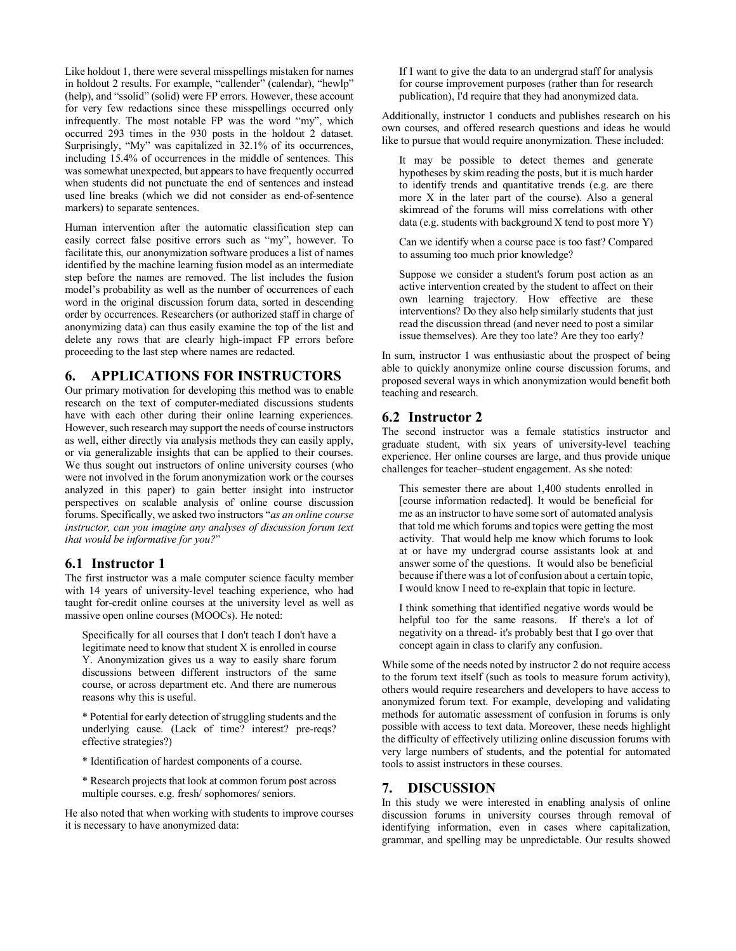Like holdout 1, there were several misspellings mistaken for names in holdout 2 results. For example, "callender" (calendar), "hewlp" (help), and "ssolid" (solid) were FP errors. However, these account for very few redactions since these misspellings occurred only infrequently. The most notable FP was the word "my", which occurred 293 times in the 930 posts in the holdout 2 dataset. Surprisingly, "My" was capitalized in 32.1% of its occurrences, including 15.4% of occurrences in the middle of sentences. This was somewhat unexpected, but appears to have frequently occurred when students did not punctuate the end of sentences and instead used line breaks (which we did not consider as end-of-sentence markers) to separate sentences.

Human intervention after the automatic classification step can easily correct false positive errors such as "my", however. To facilitate this, our anonymization software produces a list of names identified by the machine learning fusion model as an intermediate step before the names are removed. The list includes the fusion model's probability as well as the number of occurrences of each word in the original discussion forum data, sorted in descending order by occurrences. Researchers (or authorized staff in charge of anonymizing data) can thus easily examine the top of the list and delete any rows that are clearly high-impact FP errors before proceeding to the last step where names are redacted.

# **6. APPLICATIONS FOR INSTRUCTORS**

Our primary motivation for developing this method was to enable research on the text of computer-mediated discussions students have with each other during their online learning experiences. However, such research may support the needs of course instructors as well, either directly via analysis methods they can easily apply, or via generalizable insights that can be applied to their courses. We thus sought out instructors of online university courses (who were not involved in the forum anonymization work or the courses analyzed in this paper) to gain better insight into instructor perspectives on scalable analysis of online course discussion forums. Specifically, we asked two instructors "*as an online course instructor, can you imagine any analyses of discussion forum text that would be informative for you?*"

## **6.1 Instructor 1**

The first instructor was a male computer science faculty member with 14 years of university-level teaching experience, who had taught for-credit online courses at the university level as well as massive open online courses (MOOCs). He noted:

Specifically for all courses that I don't teach I don't have a legitimate need to know that student X is enrolled in course Y. Anonymization gives us a way to easily share forum discussions between different instructors of the same course, or across department etc. And there are numerous reasons why this is useful.

\* Potential for early detection of struggling students and the underlying cause. (Lack of time? interest? pre-reqs? effective strategies?)

\* Identification of hardest components of a course.

\* Research projects that look at common forum post across multiple courses. e.g. fresh/ sophomores/ seniors.

He also noted that when working with students to improve courses it is necessary to have anonymized data:

If I want to give the data to an undergrad staff for analysis for course improvement purposes (rather than for research publication), I'd require that they had anonymized data.

Additionally, instructor 1 conducts and publishes research on his own courses, and offered research questions and ideas he would like to pursue that would require anonymization. These included:

It may be possible to detect themes and generate hypotheses by skim reading the posts, but it is much harder to identify trends and quantitative trends (e.g. are there more X in the later part of the course). Also a general skimread of the forums will miss correlations with other data (e.g. students with background  $X$  tend to post more Y)

Can we identify when a course pace is too fast? Compared to assuming too much prior knowledge?

Suppose we consider a student's forum post action as an active intervention created by the student to affect on their own learning trajectory. How effective are these interventions? Do they also help similarly students that just read the discussion thread (and never need to post a similar issue themselves). Are they too late? Are they too early?

In sum, instructor 1 was enthusiastic about the prospect of being able to quickly anonymize online course discussion forums, and proposed several ways in which anonymization would benefit both teaching and research.

## **6.2 Instructor 2**

The second instructor was a female statistics instructor and graduate student, with six years of university-level teaching experience. Her online courses are large, and thus provide unique challenges for teacher–student engagement. As she noted:

This semester there are about 1,400 students enrolled in [course information redacted]. It would be beneficial for me as an instructor to have some sort of automated analysis that told me which forums and topics were getting the most activity. That would help me know which forums to look at or have my undergrad course assistants look at and answer some of the questions. It would also be beneficial because if there was a lot of confusion about a certain topic, I would know I need to re-explain that topic in lecture.

I think something that identified negative words would be helpful too for the same reasons. If there's a lot of negativity on a thread- it's probably best that I go over that concept again in class to clarify any confusion.

While some of the needs noted by instructor 2 do not require access to the forum text itself (such as tools to measure forum activity), others would require researchers and developers to have access to anonymized forum text. For example, developing and validating methods for automatic assessment of confusion in forums is only possible with access to text data. Moreover, these needs highlight the difficulty of effectively utilizing online discussion forums with very large numbers of students, and the potential for automated tools to assist instructors in these courses.

## **7. DISCUSSION**

In this study we were interested in enabling analysis of online discussion forums in university courses through removal of identifying information, even in cases where capitalization, grammar, and spelling may be unpredictable. Our results showed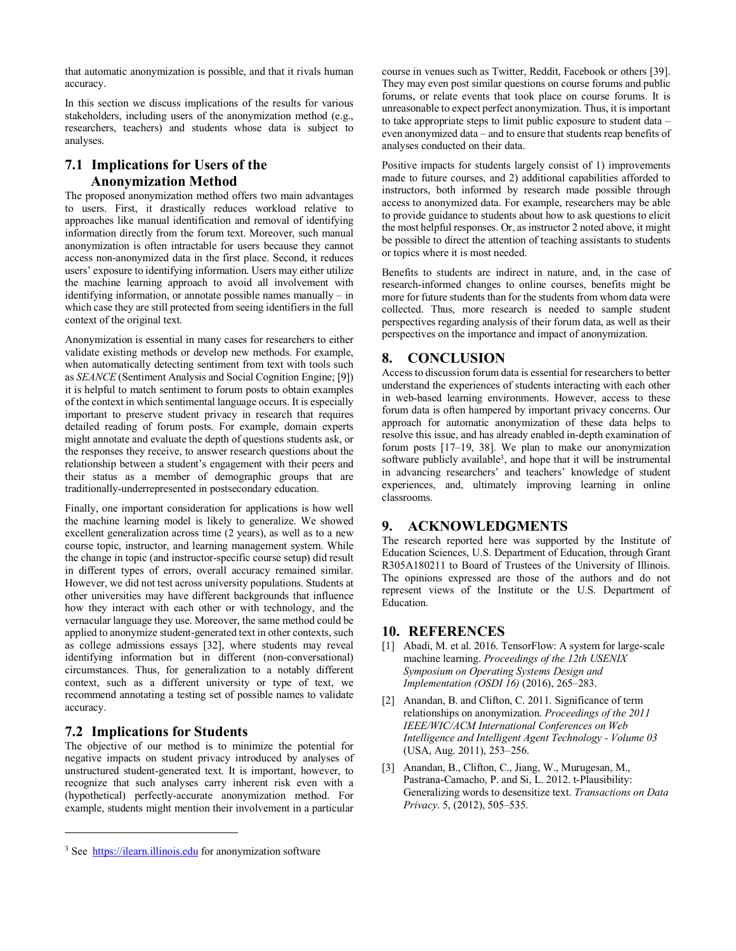that automatic anonymization is possible, and that it rivals human accuracy.

In this section we discuss implications of the results for various stakeholders, including users of the anonymization method (e.g., researchers, teachers) and students whose data is subject to analyses.

# **7.1 Implications for Users of the Anonymization Method**

The proposed anonymization method offers two main advantages to users. First, it drastically reduces workload relative to approaches like manual identification and removal of identifying information directly from the forum text. Moreover, such manual anonymization is often intractable for users because they cannot access non-anonymized data in the first place. Second, it reduces users' exposure to identifying information. Users may either utilize the machine learning approach to avoid all involvement with identifying information, or annotate possible names manually – in which case they are still protected from seeing identifiers in the full context of the original text.

Anonymization is essential in many cases for researchers to either validate existing methods or develop new methods. For example, when automatically detecting sentiment from text with tools such as *SEANCE* (Sentiment Analysis and Social Cognition Engine; [9]) it is helpful to match sentiment to forum posts to obtain examples of the context in which sentimental language occurs. It is especially important to preserve student privacy in research that requires detailed reading of forum posts. For example, domain experts might annotate and evaluate the depth of questions students ask, or the responses they receive, to answer research questions about the relationship between a student's engagement with their peers and their status as a member of demographic groups that are traditionally-underrepresented in postsecondary education.

Finally, one important consideration for applications is how well the machine learning model is likely to generalize. We showed excellent generalization across time (2 years), as well as to a new course topic, instructor, and learning management system. While the change in topic (and instructor-specific course setup) did result in different types of errors, overall accuracy remained similar. However, we did not test across university populations. Students at other universities may have different backgrounds that influence how they interact with each other or with technology, and the vernacular language they use. Moreover, the same method could be applied to anonymize student-generated text in other contexts, such as college admissions essays [32], where students may reveal identifying information but in different (non-conversational) circumstances. Thus, for generalization to a notably different context, such as a different university or type of text, we recommend annotating a testing set of possible names to validate accuracy.

## **7.2 Implications for Students**

l

The objective of our method is to minimize the potential for negative impacts on student privacy introduced by analyses of unstructured student-generated text. It is important, however, to recognize that such analyses carry inherent risk even with a (hypothetical) perfectly-accurate anonymization method. For example, students might mention their involvement in a particular course in venues such as Twitter, Reddit, Facebook or others [39]. They may even post similar questions on course forums and public forums, or relate events that took place on course forums. It is unreasonable to expect perfect anonymization. Thus, it is important to take appropriate steps to limit public exposure to student data – even anonymized data – and to ensure that students reap benefits of analyses conducted on their data.

Positive impacts for students largely consist of 1) improvements made to future courses, and 2) additional capabilities afforded to instructors, both informed by research made possible through access to anonymized data. For example, researchers may be able to provide guidance to students about how to ask questions to elicit the most helpful responses. Or, as instructor 2 noted above, it might be possible to direct the attention of teaching assistants to students or topics where it is most needed.

Benefits to students are indirect in nature, and, in the case of research-informed changes to online courses, benefits might be more for future students than for the students from whom data were collected. Thus, more research is needed to sample student perspectives regarding analysis of their forum data, as well as their perspectives on the importance and impact of anonymization.

# **8. CONCLUSION**

Access to discussion forum data is essential for researchers to better understand the experiences of students interacting with each other in web-based learning environments. However, access to these forum data is often hampered by important privacy concerns. Our approach for automatic anonymization of these data helps to resolve this issue, and has already enabled in-depth examination of forum posts [17–19, 38]. We plan to make our anonymization software publicly available<sup>3</sup>, and hope that it will be instrumental in advancing researchers' and teachers' knowledge of student experiences, and, ultimately improving learning in online classrooms.

# **9. ACKNOWLEDGMENTS**

The research reported here was supported by the Institute of Education Sciences, U.S. Department of Education, through Grant R305A180211 to Board of Trustees of the University of Illinois. The opinions expressed are those of the authors and do not represent views of the Institute or the U.S. Department of Education.

## **10. REFERENCES**

- [1] Abadi, M. et al. 2016. TensorFlow: A system for large-scale machine learning. *Proceedings of the 12th USENIX Symposium on Operating Systems Design and Implementation (OSDI 16)* (2016), 265–283.
- [2] Anandan, B. and Clifton, C. 2011. Significance of term relationships on anonymization. *Proceedings of the 2011 IEEE/WIC/ACM International Conferences on Web Intelligence and Intelligent Agent Technology - Volume 03* (USA, Aug. 2011), 253–256.
- [3] Anandan, B., Clifton, C., Jiang, W., Murugesan, M., Pastrana-Camacho, P. and Si, L. 2012. t-Plausibility: Generalizing words to desensitize text. *Transactions on Data Privacy*. 5, (2012), 505–535.

<sup>&</sup>lt;sup>3</sup> See https://ilearn.illinois.edu for anonymization software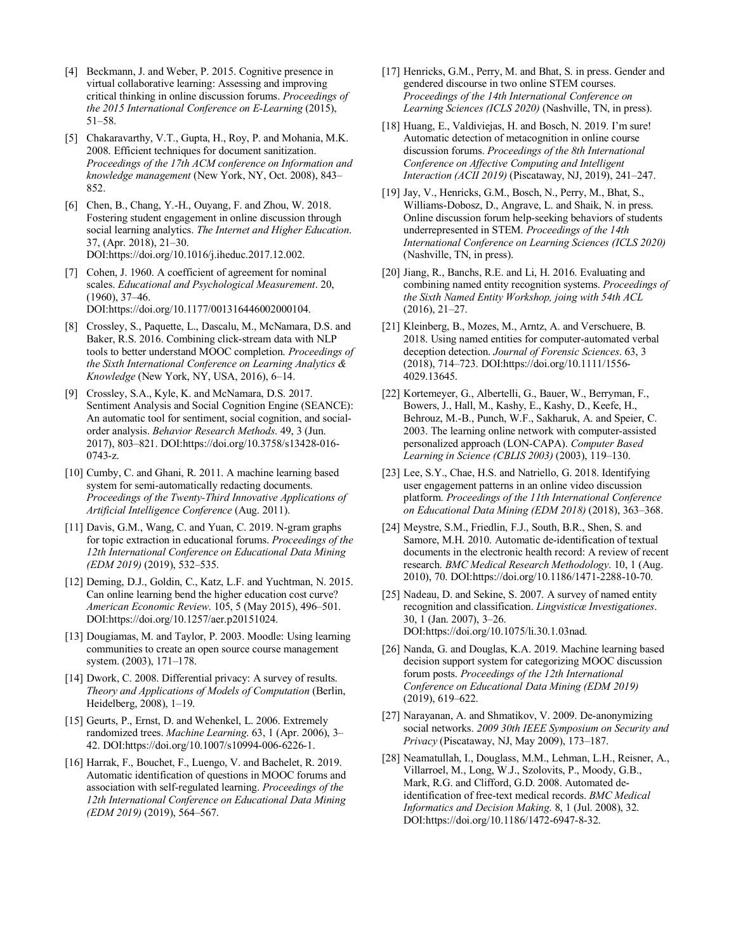- [4] Beckmann, J. and Weber, P. 2015. Cognitive presence in virtual collaborative learning: Assessing and improving critical thinking in online discussion forums. *Proceedings of the 2015 International Conference on E-Learning* (2015), 51–58.
- [5] Chakaravarthy, V.T., Gupta, H., Roy, P. and Mohania, M.K. 2008. Efficient techniques for document sanitization. *Proceedings of the 17th ACM conference on Information and knowledge management* (New York, NY, Oct. 2008), 843– 852.
- [6] Chen, B., Chang, Y.-H., Ouyang, F. and Zhou, W. 2018. Fostering student engagement in online discussion through social learning analytics. *The Internet and Higher Education*. 37, (Apr. 2018), 21–30. DOI:https://doi.org/10.1016/j.iheduc.2017.12.002.
- [7] Cohen, J. 1960. A coefficient of agreement for nominal scales. *Educational and Psychological Measurement*. 20, (1960), 37–46. DOI:https://doi.org/10.1177/001316446002000104.
- [8] Crossley, S., Paquette, L., Dascalu, M., McNamara, D.S. and Baker, R.S. 2016. Combining click-stream data with NLP tools to better understand MOOC completion. *Proceedings of the Sixth International Conference on Learning Analytics & Knowledge* (New York, NY, USA, 2016), 6–14.
- [9] Crossley, S.A., Kyle, K. and McNamara, D.S. 2017. Sentiment Analysis and Social Cognition Engine (SEANCE): An automatic tool for sentiment, social cognition, and socialorder analysis. *Behavior Research Methods*. 49, 3 (Jun. 2017), 803–821. DOI:https://doi.org/10.3758/s13428-016- 0743-z.
- [10] Cumby, C. and Ghani, R. 2011. A machine learning based system for semi-automatically redacting documents. *Proceedings of the Twenty-Third Innovative Applications of Artificial Intelligence Conference* (Aug. 2011).
- [11] Davis, G.M., Wang, C. and Yuan, C. 2019. N-gram graphs for topic extraction in educational forums. *Proceedings of the 12th International Conference on Educational Data Mining (EDM 2019)* (2019), 532–535.
- [12] Deming, D.J., Goldin, C., Katz, L.F. and Yuchtman, N. 2015. Can online learning bend the higher education cost curve? *American Economic Review*. 105, 5 (May 2015), 496–501. DOI:https://doi.org/10.1257/aer.p20151024.
- [13] Dougiamas, M. and Taylor, P. 2003. Moodle: Using learning communities to create an open source course management system. (2003), 171–178.
- [14] Dwork, C. 2008. Differential privacy: A survey of results. *Theory and Applications of Models of Computation* (Berlin, Heidelberg, 2008), 1–19.
- [15] Geurts, P., Ernst, D. and Wehenkel, L. 2006. Extremely randomized trees. *Machine Learning*. 63, 1 (Apr. 2006), 3– 42. DOI:https://doi.org/10.1007/s10994-006-6226-1.
- [16] Harrak, F., Bouchet, F., Luengo, V. and Bachelet, R. 2019. Automatic identification of questions in MOOC forums and association with self-regulated learning. *Proceedings of the 12th International Conference on Educational Data Mining (EDM 2019)* (2019), 564–567.
- [17] Henricks, G.M., Perry, M. and Bhat, S. in press. Gender and gendered discourse in two online STEM courses. *Proceedings of the 14th International Conference on Learning Sciences (ICLS 2020)* (Nashville, TN, in press).
- [18] Huang, E., Valdiviejas, H. and Bosch, N. 2019. I'm sure! Automatic detection of metacognition in online course discussion forums. *Proceedings of the 8th International Conference on Affective Computing and Intelligent Interaction (ACII 2019)* (Piscataway, NJ, 2019), 241–247.
- [19] Jay, V., Henricks, G.M., Bosch, N., Perry, M., Bhat, S., Williams-Dobosz, D., Angrave, L. and Shaik, N. in press. Online discussion forum help-seeking behaviors of students underrepresented in STEM. *Proceedings of the 14th International Conference on Learning Sciences (ICLS 2020)* (Nashville, TN, in press).
- [20] Jiang, R., Banchs, R.E. and Li, H. 2016. Evaluating and combining named entity recognition systems. *Proceedings of the Sixth Named Entity Workshop, joing with 54th ACL* (2016), 21–27.
- [21] Kleinberg, B., Mozes, M., Arntz, A. and Verschuere, B. 2018. Using named entities for computer-automated verbal deception detection. *Journal of Forensic Sciences*. 63, 3 (2018), 714–723. DOI:https://doi.org/10.1111/1556- 4029.13645.
- [22] Kortemeyer, G., Albertelli, G., Bauer, W., Berryman, F., Bowers, J., Hall, M., Kashy, E., Kashy, D., Keefe, H., Behrouz, M.-B., Punch, W.F., Sakharuk, A. and Speier, C. 2003. The learning online network with computer-assisted personalized approach (LON-CAPA). *Computer Based Learning in Science (CBLIS 2003)* (2003), 119–130.
- [23] Lee, S.Y., Chae, H.S. and Natriello, G. 2018. Identifying user engagement patterns in an online video discussion platform. *Proceedings of the 11th International Conference on Educational Data Mining (EDM 2018)* (2018), 363–368.
- [24] Meystre, S.M., Friedlin, F.J., South, B.R., Shen, S. and Samore, M.H. 2010. Automatic de-identification of textual documents in the electronic health record: A review of recent research. *BMC Medical Research Methodology*. 10, 1 (Aug. 2010), 70. DOI:https://doi.org/10.1186/1471-2288-10-70.
- [25] Nadeau, D. and Sekine, S. 2007. A survey of named entity recognition and classification. *Lingvisticæ Investigationes*. 30, 1 (Jan. 2007), 3–26. DOI:https://doi.org/10.1075/li.30.1.03nad.
- [26] Nanda, G. and Douglas, K.A. 2019. Machine learning based decision support system for categorizing MOOC discussion forum posts. *Proceedings of the 12th International Conference on Educational Data Mining (EDM 2019)* (2019), 619–622.
- [27] Narayanan, A. and Shmatikov, V. 2009. De-anonymizing social networks. *2009 30th IEEE Symposium on Security and Privacy* (Piscataway, NJ, May 2009), 173–187.
- [28] Neamatullah, I., Douglass, M.M., Lehman, L.H., Reisner, A., Villarroel, M., Long, W.J., Szolovits, P., Moody, G.B., Mark, R.G. and Clifford, G.D. 2008. Automated deidentification of free-text medical records. *BMC Medical Informatics and Decision Making*. 8, 1 (Jul. 2008), 32. DOI:https://doi.org/10.1186/1472-6947-8-32.